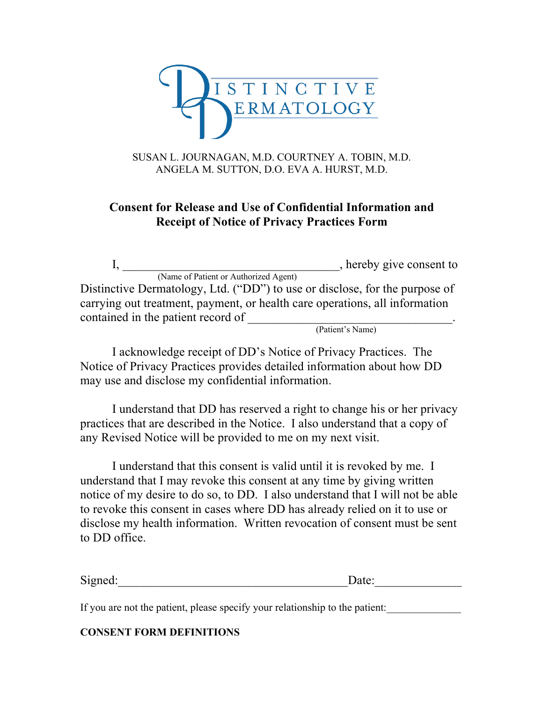

## SUSAN L. JOURNAGAN, M.D. COURTNEY A. TOBIN, M.D. ANGELA M. SUTTON, D.O. EVA A. HURST, M.D.

## **Consent for Release and Use of Confidential Information and Receipt of Notice of Privacy Practices Form**

I, \_\_\_\_\_\_\_\_\_\_\_\_\_\_\_\_\_\_\_\_\_\_\_\_\_\_\_\_\_\_\_\_\_\_\_, hereby give consent to (Name of Patient or Authorized Agent) Distinctive Dermatology, Ltd. ("DD") to use or disclose, for the purpose of carrying out treatment, payment, or health care operations, all information contained in the patient record of  $\frac{\qquad \qquad }{\qquad \qquad }$  (Patient's Name)

I acknowledge receipt of DD's Notice of Privacy Practices. The Notice of Privacy Practices provides detailed information about how DD may use and disclose my confidential information.

I understand that DD has reserved a right to change his or her privacy practices that are described in the Notice. I also understand that a copy of any Revised Notice will be provided to me on my next visit.

I understand that this consent is valid until it is revoked by me. I understand that I may revoke this consent at any time by giving written notice of my desire to do so, to DD. I also understand that I will not be able to revoke this consent in cases where DD has already relied on it to use or disclose my health information. Written revocation of consent must be sent to DD office.

| Si<br>ື້<br>uvu. | $\ddotsc$ |
|------------------|-----------|
|                  |           |

If you are not the patient, please specify your relationship to the patient:

## **CONSENT FORM DEFINITIONS**